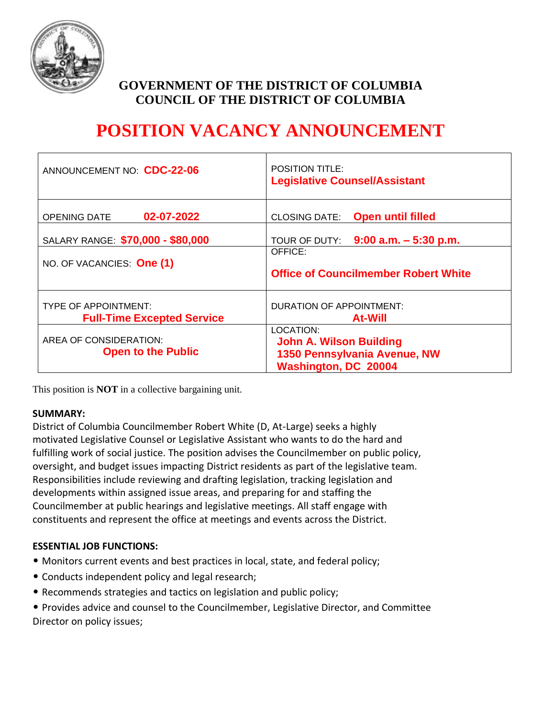

# **GOVERNMENT OF THE DISTRICT OF COLUMBIA COUNCIL OF THE DISTRICT OF COLUMBIA**

# **POSITION VACANCY ANNOUNCEMENT**

| ANNOUNCEMENT NO. CDC-22-06                                       | <b>POSITION TITLE:</b><br><b>Legislative Counsel/Assistant</b>                                             |
|------------------------------------------------------------------|------------------------------------------------------------------------------------------------------------|
| 02-07-2022<br><b>OPENING DATE</b>                                | <b>Open until filled</b><br><b>CLOSING DATE:</b>                                                           |
| SALARY RANGE: \$70,000 - \$80,000                                | TOUR OF DUTY: $9:00$ a.m. $-5:30$ p.m.                                                                     |
| NO. OF VACANCIES: One (1)                                        | OFFICE:<br><b>Office of Councilmember Robert White</b>                                                     |
| <b>TYPE OF APPOINTMENT:</b><br><b>Full-Time Excepted Service</b> | DURATION OF APPOINTMENT:<br><b>At-Will</b>                                                                 |
| AREA OF CONSIDERATION:<br><b>Open to the Public</b>              | LOCATION:<br><b>John A. Wilson Building</b><br>1350 Pennsylvania Avenue, NW<br><b>Washington, DC 20004</b> |

This position is **NOT** in a collective bargaining unit.

#### **SUMMARY:**

District of Columbia Councilmember Robert White (D, At-Large) seeks a highly motivated Legislative Counsel or Legislative Assistant who wants to do the hard and fulfilling work of social justice. The position advises the Councilmember on public policy, oversight, and budget issues impacting District residents as part of the legislative team. Responsibilities include reviewing and drafting legislation, tracking legislation and developments within assigned issue areas, and preparing for and staffing the Councilmember at public hearings and legislative meetings. All staff engage with constituents and represent the office at meetings and events across the District.

## **ESSENTIAL JOB FUNCTIONS:**

- Monitors current events and best practices in local, state, and federal policy;
- Conducts independent policy and legal research;
- Recommends strategies and tactics on legislation and public policy;
- Provides advice and counsel to the Councilmember, Legislative Director, and Committee Director on policy issues;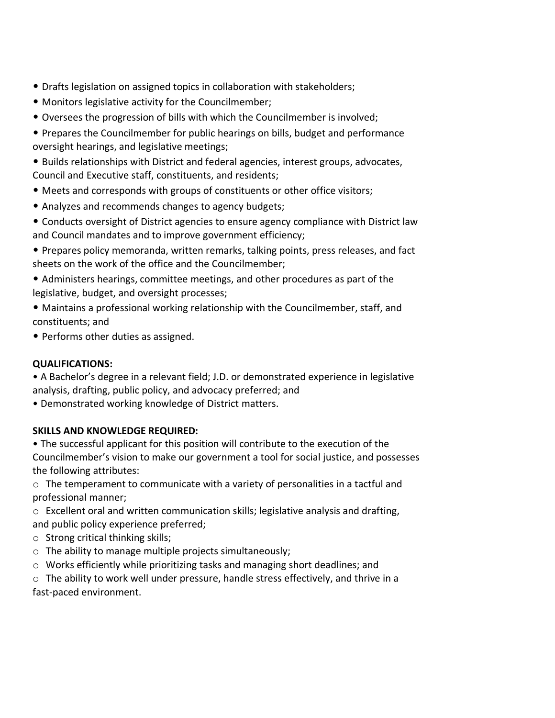- Drafts legislation on assigned topics in collaboration with stakeholders;
- Monitors legislative activity for the Councilmember;
- Oversees the progression of bills with which the Councilmember is involved;
- Prepares the Councilmember for public hearings on bills, budget and performance oversight hearings, and legislative meetings;
- Builds relationships with District and federal agencies, interest groups, advocates, Council and Executive staff, constituents, and residents;
- Meets and corresponds with groups of constituents or other office visitors;
- Analyzes and recommends changes to agency budgets;
- Conducts oversight of District agencies to ensure agency compliance with District law and Council mandates and to improve government efficiency;
- Prepares policy memoranda, written remarks, talking points, press releases, and fact sheets on the work of the office and the Councilmember;
- Administers hearings, committee meetings, and other procedures as part of the legislative, budget, and oversight processes;
- Maintains a professional working relationship with the Councilmember, staff, and constituents; and
- Performs other duties as assigned.

# **QUALIFICATIONS:**

• A Bachelor's degree in a relevant field; J.D. or demonstrated experience in legislative analysis, drafting, public policy, and advocacy preferred; and

• Demonstrated working knowledge of District matters.

## **SKILLS AND KNOWLEDGE REQUIRED:**

• The successful applicant for this position will contribute to the execution of the Councilmember's vision to make our government a tool for social justice, and possesses the following attributes:

o The temperament to communicate with a variety of personalities in a tactful and professional manner;

o Excellent oral and written communication skills; legislative analysis and drafting, and public policy experience preferred;

- o Strong critical thinking skills;
- o The ability to manage multiple projects simultaneously;
- $\circ$  Works efficiently while prioritizing tasks and managing short deadlines; and
- o The ability to work well under pressure, handle stress effectively, and thrive in a fast-paced environment.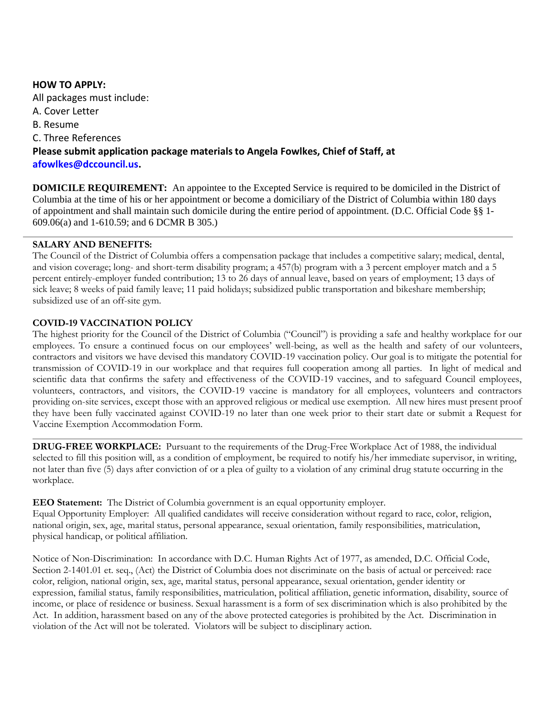#### **HOW TO APPLY:**

All packages must include: A. Cover Letter B. Resume C. Three References **Please submit application package materials to Angela Fowlkes, Chief of Staff, at afowlkes@dccouncil.us.**

**DOMICILE REQUIREMENT:** An appointee to the Excepted Service is required to be domiciled in the District of Columbia at the time of his or her appointment or become a domiciliary of the District of Columbia within 180 days of appointment and shall maintain such domicile during the entire period of appointment. (D.C. Official Code §§ 1- 609.06(a) and 1-610.59; and 6 DCMR B 305.)

#### **SALARY AND BENEFITS:**

The Council of the District of Columbia offers a compensation package that includes a competitive salary; medical, dental, and vision coverage; long- and short-term disability program; a 457(b) program with a 3 percent employer match and a 5 percent entirely-employer funded contribution; 13 to 26 days of annual leave, based on years of employment; 13 days of sick leave; 8 weeks of paid family leave; 11 paid holidays; subsidized public transportation and bikeshare membership; subsidized use of an off-site gym.

#### **COVID-19 VACCINATION POLICY**

The highest priority for the Council of the District of Columbia ("Council") is providing a safe and healthy workplace for our employees. To ensure a continued focus on our employees' well-being, as well as the health and safety of our volunteers, contractors and visitors we have devised this mandatory COVID-19 vaccination policy. Our goal is to mitigate the potential for transmission of COVID-19 in our workplace and that requires full cooperation among all parties. In light of medical and scientific data that confirms the safety and effectiveness of the COVID-19 vaccines, and to safeguard Council employees, volunteers, contractors, and visitors, the COVID-19 vaccine is mandatory for all employees, volunteers and contractors providing on-site services, except those with an approved religious or medical use exemption. All new hires must present proof they have been fully vaccinated against COVID-19 no later than one week prior to their start date or submit a Request for Vaccine Exemption Accommodation Form.

**DRUG-FREE WORKPLACE:** Pursuant to the requirements of the Drug-Free Workplace Act of 1988, the individual selected to fill this position will, as a condition of employment, be required to notify his/her immediate supervisor, in writing, not later than five (5) days after conviction of or a plea of guilty to a violation of any criminal drug statute occurring in the workplace.

**EEO Statement:** The District of Columbia government is an equal opportunity employer. Equal Opportunity Employer: All qualified candidates will receive consideration without regard to race, color, religion, national origin, sex, age, marital status, personal appearance, sexual orientation, family responsibilities, matriculation, physical handicap, or political affiliation.

Notice of Non-Discrimination: In accordance with D.C. Human Rights Act of 1977, as amended, D.C. Official Code, Section 2-1401.01 et. seq., (Act) the District of Columbia does not discriminate on the basis of actual or perceived: race color, religion, national origin, sex, age, marital status, personal appearance, sexual orientation, gender identity or expression, familial status, family responsibilities, matriculation, political affiliation, genetic information, disability, source of income, or place of residence or business. Sexual harassment is a form of sex discrimination which is also prohibited by the Act. In addition, harassment based on any of the above protected categories is prohibited by the Act. Discrimination in violation of the Act will not be tolerated. Violators will be subject to disciplinary action.